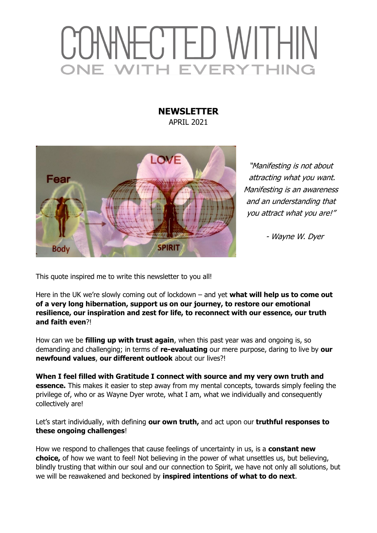## CONNECTED WITHIN *ITH EVERYTHING* JF 1

## **NEWSLETTER**  APRIL 2021



"Manifesting is not about attracting what you want. Manifesting is an awareness and an understanding that you attract what you are!"

- Wayne W. Dyer

This quote inspired me to write this newsletter to you all!

Here in the UK we're slowly coming out of lockdown – and yet **what will help us to come out of a very long hibernation, support us on our journey, to restore our emotional resilience, our inspiration and zest for life, to reconnect with our essence, our truth and faith even**?!

How can we be **filling up with trust again**, when this past year was and ongoing is, so demanding and challenging; in terms of **re-evaluating** our mere purpose, daring to live by **our newfound values**, **our different outlook** about our lives?!

**When I feel filled with Gratitude I connect with source and my very own truth and essence.** This makes it easier to step away from my mental concepts, towards simply feeling the privilege of, who or as Wayne Dyer wrote, what I am, what we individually and consequently collectively are!

Let's start individually, with defining **our own truth,** and act upon our **truthful responses to these ongoing challenges**!

How we respond to challenges that cause feelings of uncertainty in us, is a **constant new choice,** of how we want to feel! Not believing in the power of what unsettles us, but believing, blindly trusting that within our soul and our connection to Spirit, we have not only all solutions, but we will be reawakened and beckoned by **inspired intentions of what to do next**.